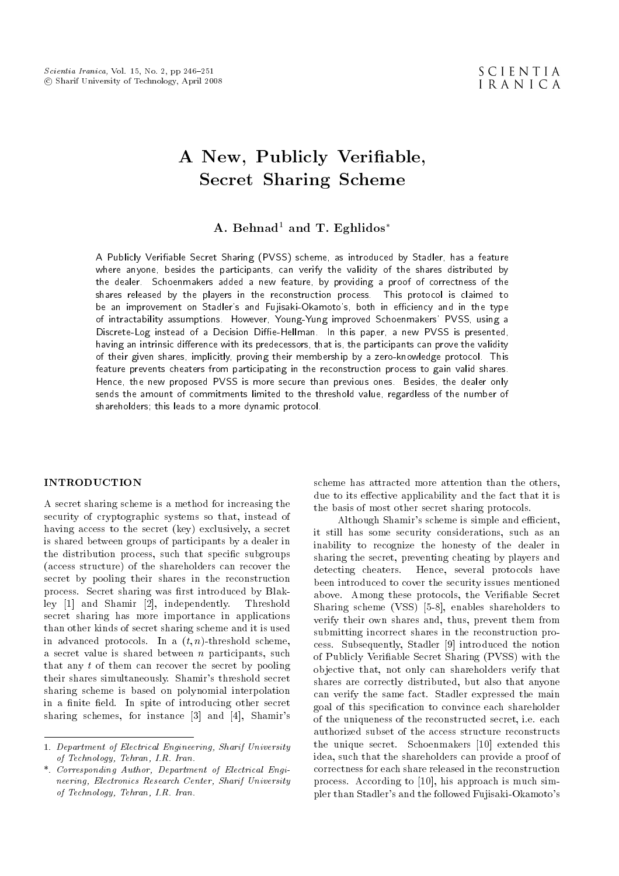# A New, Publicly Veriable, Secret Sharing Scheme

# A. Behnad<sup>1</sup> and T. Eghlidos<sup>\*</sup>

A Publicly Veriable Secret Sharing (PVSS) scheme, as introduced by Stadler, has a feature where anyone, besides the participants, can verify the validity of the shares distributed by the dealer. Schoenmakers added a new feature, by providing a proof of correctness of the shares released by the players in the reconstruction process. This protocol is claimed to be an improvement on Stadler's and Fujisaki-Okamoto's, both in efficiency and in the type of intractability assumptions. However, Young-Yung improved Schoenmakers' PVSS, using a Discrete-Log instead of a Decision Diffie-Hellman. In this paper, a new PVSS is presented, having an intrinsic difference with its predecessors, that is, the participants can prove the validity of their given shares, implicitly, proving their membership by a zero-knowledge protocol. This feature prevents cheaters from participating in the reconstruction process to gain valid shares. Hence, the new proposed PVSS is more secure than previous ones. Besides, the dealer only sends the amount of commitments limited to the threshold value, regardless of the number of shareholders; this leads to a more dynamic protocol.

## INTRODUCTION

A secret sharing scheme is a method for increasing the security of cryptographic systems so that, instead of having access to the secret (key) exclusively, a secret is shared between groups of participants by a dealer in the distribution process, such that specic subgroups (access structure) of the shareholders can recover the secret by pooling their shares in the reconstruction process. Secret sharing was first introduced by Blakley [1] and Shamir [2], independently. Threshold secret sharing has more importance in applications than other kinds of secret sharing scheme and it is used in advanced protocols. In a  $(t, n)$ -threshold scheme, a secret value is shared between  $n$  participants, such that any t of them can recover the secret by pooling their shares simultaneously. Shamir's threshold secret sharing scheme is based on polynomial interpolation in a finite field. In spite of introducing other secret sharing schemes, for instance [3] and [4], Shamir's scheme has attracted more attention than the others, due to its effective applicability and the fact that it is the basis of most other secret sharing protocols.

Although Shamir's scheme is simple and efficient, it still has some security considerations, such as an inability to recognize the honesty of the dealer in sharing the secret, preventing cheating by players and detecting cheaters. Hence, several protocols have been introduced to cover the security issues mentioned above. Among these protocols, the Veriable Secret Sharing scheme (VSS) [5-8], enables shareholders to verify their own shares and, thus, prevent them from submitting incorrect shares in the reconstruction process. Subsequently, Stadler [9] introduced the notion of Publicly Veriable Secret Sharing (PVSS) with the objective that, not only can shareholders verify that shares are correctly distributed, but also that anyone can verify the same fact. Stadler expressed the main goal of this specication to convince each shareholder of the uniqueness of the reconstructed secret, i.e. each authorized subset of the access structure reconstructs the unique secret. Schoenmakers [10] extended this idea, such that the shareholders can provide a proof of correctness for each share released in the reconstruction process. According to [10], his approach is much simpler than Stadler's and the followed Fujisaki-Okamoto's

<sup>1.</sup> Department of Electrical Engineering, Sharif University of Technology, Tehran, I.R. Iran.

<sup>\*.</sup> Corresponding Author, Department of Electrical Engineering, Electronics Research Center, Sharif University of Technology, Tehran, I.R. Iran.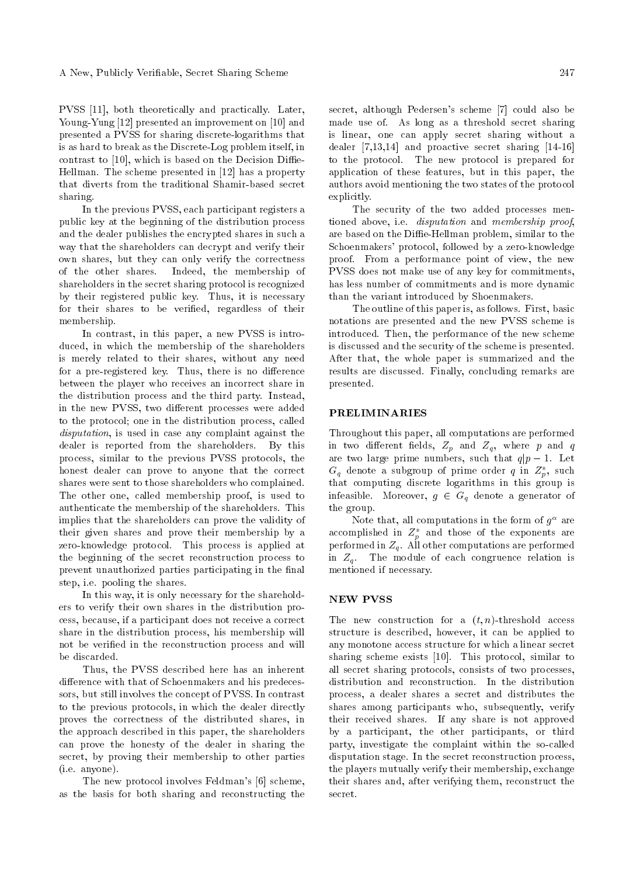PVSS [11], both theoretically and practically. Later, Young-Yung [12] presented an improvement on [10] and presented a PVSS for sharing discrete-logarithms that is as hard to break as the Discrete-Log problem itself, in contrast to  $[10]$ , which is based on the Decision Diffie-Hellman. The scheme presented in [12] has a property that diverts from the traditional Shamir-based secret sharing.

In the previous PVSS, each participant registers a public key at the beginning of the distribution process and the dealer publishes the encrypted shares in such a way that the shareholders can decrypt and verify their own shares, but they can only verify the correctness of the other shares. Indeed, the membership of shareholders in the secret sharing protocol is recognized by their registered public key. Thus, it is necessary for their shares to be verified, regardless of their membership.

In contrast, in this paper, a new PVSS is introduced, in which the membership of the shareholders is merely related to their shares, without any need for a pre-registered key. Thus, there is no difference between the player who receives an incorrect share in the distribution process and the third party. Instead, in the new PVSS, two different processes were added to the protocol; one in the distribution process, called disputation, is used in case any complaint against the dealer is reported from the shareholders. By this process, similar to the previous PVSS protocols, the honest dealer can prove to anyone that the correct shares were sent to those shareholders who complained. The other one, called membership proof, is used to authenticate the membership of the shareholders. This implies that the shareholders can prove the validity of their given shares and prove their membership by a zero-knowledge protocol. This process is applied at the beginning of the secret reconstruction process to prevent unauthorized parties participating in the final step, i.e. pooling the shares.

In this way, it is only necessary for the shareholders to verify their own shares in the distribution process, because, if a participant does not receive a correct share in the distribution process, his membership will not be veried in the reconstruction process and will be discarded.

Thus, the PVSS described here has an inherent difference with that of Schoenmakers and his predecessors, but still involves the concept of PVSS. In contrast to the previous protocols, in which the dealer directly proves the correctness of the distributed shares, in the approach described in this paper, the shareholders can prove the honesty of the dealer in sharing the secret, by proving their membership to other parties (i.e. anyone).

The new protocol involves Feldman's [6] scheme, as the basis for both sharing and reconstructing the secret, although Pedersen's scheme [7] could also be made use of. As long as a threshold secret sharing is linear, one can apply secret sharing without a dealer [7,13,14] and proactive secret sharing [14-16] to the protocol. The new protocol is prepared for application of these features, but in this paper, the authors avoid mentioning the two states of the protocol explicitly.

The security of the two added processes mentioned above, i.e. disputation and membership proof, are based on the Diffie-Hellman problem, similar to the Schoenmakers' protocol, followed by a zero-knowledge proof. From a performance point of view, the new PVSS does not make use of any key for commitments, has less number of commitments and is more dynamic than the variant introduced by Shoenmakers.

The outline of this paper is, as follows. First, basic notations are presented and the new PVSS scheme is introduced. Then, the performance of the new scheme is discussed and the security of the scheme is presented. After that, the whole paper is summarized and the results are discussed. Finally, concluding remarks are presented.

## PRELIMINARIES

Throughout this paper, all computations are performed in two different fields,  $Z_p$  and  $Z_q$ , where p and q are two large prime numbers, such that  $q|p-1$ . Let  $G_q$  denote a subgroup of prime order q in  $Z_p^*$ , such that computing discrete logarithms in this group is infeasible. Moreover,  $g \in G_q$  denote a generator of the group.

Note that, all computations in the form of  $g^{\alpha}$  are accomplished in  $Z_p^*$  and those of the exponents are performed in  $Z_q$ . All other computations are performed in  $Z_q$ . The module of each congruence relation is mentioned if necessary.

# NEW PVSS

The new construction for a  $(t, n)$ -threshold access structure is described, however, it can be applied to any monotone access structure for which a linear secret sharing scheme exists [10]. This protocol, similar to all secret sharing protocols, consists of two processes, distribution and reconstruction. In the distribution process, a dealer shares a secret and distributes the shares among participants who, subsequently, verify their received shares. If any share is not approved by a participant, the other participants, or third party, investigate the complaint within the so-called disputation stage. In the secret reconstruction process, the players mutually verify their membership, exchange their shares and, after verifying them, reconstruct the secret.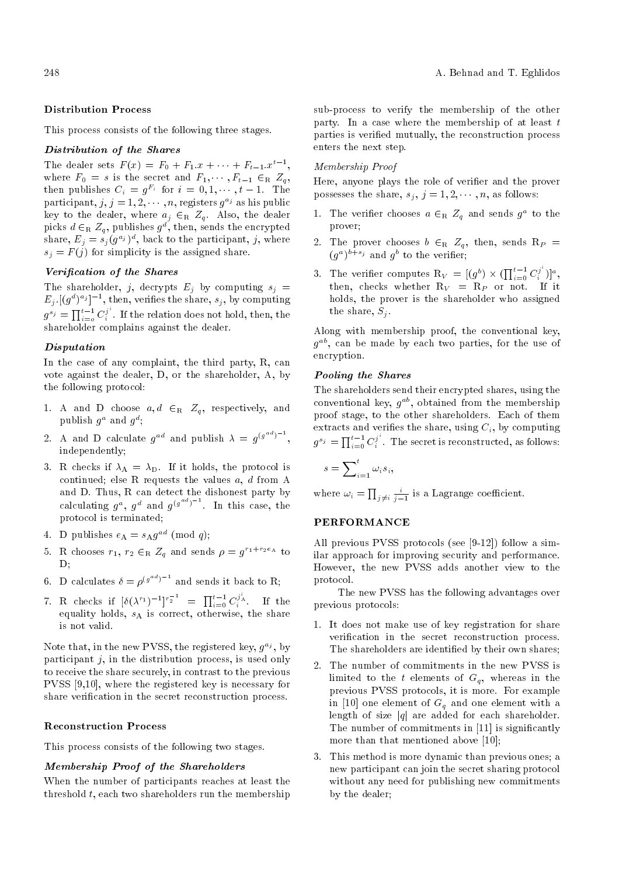## Distribution Process

This process consists of the following three stages.

# Distribution of the Shares

The dealer sets  $F(x) = F_0 + F_1 \cdot x + \cdots + F_{t-1} \cdot x^{t-1}$ , where  $F_0 = s$  is the secret and  $F_1, \cdots, F_{t-1} \in_R Z_q$ , then publishes  $C_i = g^{F_i}$  for  $i = 0, 1, \dots, t-1$ . The participant,  $j, j = 1, 2, \dots, n$ , registers  $g^{a_j}$  as his public key to the dealer, where  $a_j \in_R Z_q$ . Also, the dealer picks  $d \in_R Z_q$ , publishes  $g^d$ , then, sends the encrypted share,  $E_j = s_j (g^{a_j})^d$ , back to the participant, j, where  $s_j = F(j)$  for simplicity is the assigned share.

## Verication of the Shares

The shareholder, j, decrypts  $E_j$  by computing  $s_j =$  $E_j$ .  $[(g^d)^{a_j}]^{-1}$ , then, verifies the share,  $s_j$ , by computing  $g^{s_j} = \prod_{i=0}^{t-1} C_i^{j^i}$  $i$ . If the relation does not hold, then, the shareholder complains against the dealer.

## Disputation

In the case of any complaint, the third party, R, can vote against the dealer, D, or the shareholder, A, by the following protocol:

- 1. A and D choose  $a, d \in_R Z_q$ , respectively, and publish  $g^a$  and  $g^d$ ;
- 2. A and D calculate  $g^{ad}$  and publish  $\lambda = g^{(g^{ad})^{-1}},$ independently;
- 3. R checks if  $\lambda_A = \lambda_D$ . If it holds, the protocol is continued; else R requests the values  $a, d$  from A and D. Thus, R can detect the dishonest party by calculating  $g^a$ ,  $g^d$  and  $g^{(g^{ad})^{-1}}$ . In this case, the protocol is terminated;
- 4. D publishes  $e_A = s_A g^{ad} \pmod{q}$ ;
- 5. R chooses  $r_1$ ,  $r_2 \in_R Z_q$  and sends  $\rho = g^{r_1+r_2e_A}$  to D;
- 6. D calculates  $\delta = \rho^{(g^{ad})^{-1}}$  and sends it back to R;
- 7. R checks if  $[\delta(\lambda^{r_1})^{-1}]^{r_2^{-1}} = \prod_{i=0}^{t-1} C_i^{j_A^i}$  If the equality holds, s<sup>A</sup> is correct, otherwise, the share is not valid.

Note that, in the new PVSS, the registered key,  $g^{a_j}$ , by participant  $j$ , in the distribution process, is used only to receive the share securely, in contrast to the previous PVSS [9,10], where the registered key is necessary for share verification in the secret reconstruction process.

## Reconstruction Process

This process consists of the following two stages.

## Membership Proof of the Shareholders

When the number of participants reaches at least the threshold t, each two shareholders run the membership sub-process to verify the membership of the other party. In a case where the membership of at least  $t$ parties is veried mutually, the reconstruction process enters the next step.

## Membership Proof

Here, anyone plays the role of verifier and the prover possesses the share,  $s_j, j = 1, 2, \dots, n$ , as follows:

- 1. The verifier chooses  $a \in_R Z_q$  and sends  $g^a$  to the prover;
- 2. The prover chooses  $b \in_R Z_q$ , then, sends  $R_P =$  $(g^a)^{b+s_j}$  and  $g^b$  to the verifier;
- 3. The verifier computes  $\mathbb{R}_V = [(g^b) \times (\prod_{i=0}^{t-1} C_i^{j^i})]$  $\binom{j^*}{i}$ <sup>a</sup>, then, checks whether  $R_V = R_P$  or not. If it holds, the prover is the shareholder who assigned the share,  $S_i$ .

Along with membership proof, the conventional key,  $g^{ab}$ , can be made by each two parties, for the use of encryption.

#### Pooling the Shares

The shareholders send their encrypted shares, using the conventional key,  $g^{ab}$ , obtained from the membership proof stage, to the other shareholders. Each of them extracts and verifies the share, using  $C_i$ , by computing  $g^{s_j} = \prod_{i=0}^{t-1} C_i^{j^i}$  $i$ . The secret is reconstructed, as follows:

$$
s = \sum_{i=1}^{t} \omega_i s_i,
$$

where  $\omega_i = \prod_{j \neq i} \frac{i}{j-1}$  is a Lagrange coefficient.

#### PERFORMANCE

All previous PVSS protocols (see [9-12]) follow a similar approach for improving security and performance. However, the new PVSS adds another view to the protocol.

The new PVSS has the following advantages over previous protocols:

- 1. It does not make use of key registration for share verification in the secret reconstruction process. The shareholders are identied by their own shares;
- 2. The number of commitments in the new PVSS is limited to the t elements of  $G_q$ , whereas in the previous PVSS protocols, it is more. For example in [10] one element of  $G<sub>a</sub>$  and one element with a length of size  $|q|$  are added for each shareholder. The number of commitments in [11] is significantly more than that mentioned above [10];
- 3. This method is more dynamic than previous ones; a new participant can join the secret sharing protocol without any need for publishing new commitments by the dealer;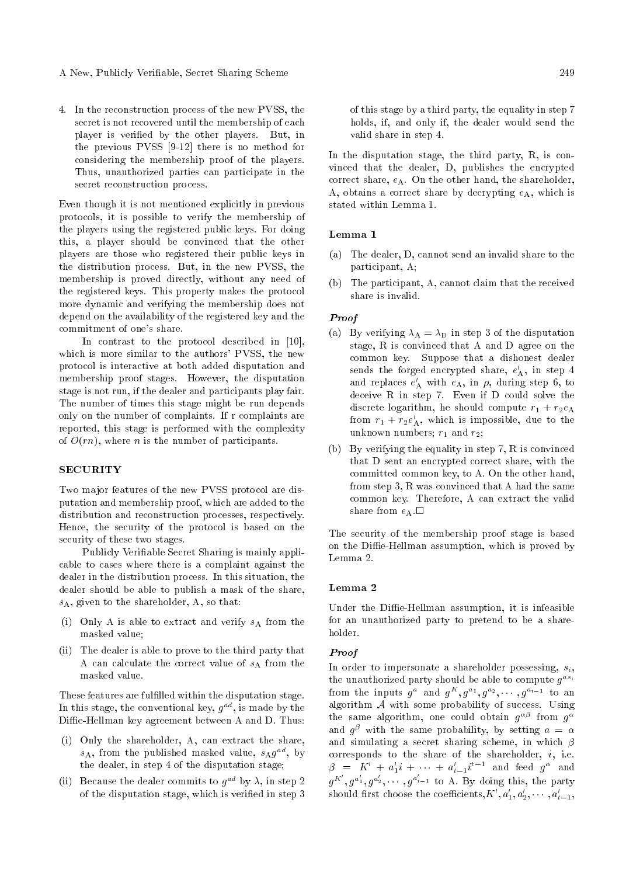4. In the reconstruction process of the new PVSS, the secret is not recovered until the membership of each player is veried by the other players. But, in the previous PVSS [9-12] there is no method for considering the membership proof of the players. Thus, unauthorized parties can participate in the secret reconstruction process.

Even though it is not mentioned explicitly in previous protocols, it is possible to verify the membership of the players using the registered public keys. For doing this, a player should be convinced that the other players are those who registered their public keys in the distribution process. But, in the new PVSS, the membership is proved directly, without any need of the registered keys. This property makes the protocol more dynamic and verifying the membership does not depend on the availability of the registered key and the commitment of one's share.

In contrast to the protocol described in [10], which is more similar to the authors' PVSS, the new protocol is interactive at both added disputation and membership proof stages. However, the disputation stage is not run, if the dealer and participants play fair. The number of times this stage might be run depends only on the number of complaints. If r complaints are reported, this stage is performed with the complexity of  $O(rn)$ , where *n* is the number of participants.

## SECURITY

Two major features of the new PVSS protocol are disputation and membership proof, which are added to the distribution and reconstruction processes, respectively. Hence, the security of the protocol is based on the security of these two stages.

Publicly Veriable Secret Sharing is mainly applicable to cases where there is a complaint against the dealer in the distribution process. In this situation, the dealer should be able to publish a mask of the share,  $s_A$ , given to the shareholder, A, so that:

- (i) Only A is able to extract and verify  $s_A$  from the masked value;
- (ii) The dealer is able to prove to the third party that A can calculate the correct value of  $s_A$  from the masked value.

These features are fulfilled within the disputation stage. In this stage, the conventional key,  $g^{ad}$ , is made by the Diffie-Hellman key agreement between A and D. Thus:

- (i) Only the shareholder, A, can extract the share,  $s_A$ , from the published masked value,  $s_A g^{ad}$ , by the dealer, in step 4 of the disputation stage;
- (ii) Because the dealer commits to  $g^{ad}$  by  $\lambda$ , in step 2 of the disputation stage, which is veried in step 3

of this stage by a third party, the equality in step 7 holds, if, and only if, the dealer would send the valid share in step 4.

In the disputation stage, the third party, R, is convinced that the dealer, D, publishes the encrypted correct share,  $e_A$ . On the other hand, the shareholder, A, obtains a correct share by decrypting  $e_A$ , which is stated within Lemma 1.

# Lemma 1

- (a) The dealer, D, cannot send an invalid share to the participant, A;
- (b) The participant, A, cannot claim that the received share is invalid.

## Proof

- (a) By verifying  $\lambda_A = \lambda_D$  in step 3 of the disputation stage, R is convinced that A and D agree on the common key. Suppose that a dishonest dealer sends the forged encrypted share,  $e'_{\mathbf{A}}$ , in step 4 and replaces  $e'_{\mathbf{A}}$  with  $e_{\mathbf{A}}$ , in  $\rho$ , during step 6, to deceive R in step 7. Even if D could solve the discrete logarithm, he should compute  $r_1 + r_2e_A$ from  $r_1 + r_2 e'_A$ , which is impossible, due to the unknown numbers;  $r_1$  and  $r_2$ ;
- (b) By verifying the equality in step 7, R is convinced that D sent an encrypted correct share, with the committed common key, to A. On the other hand, from step 3, R was convinced that A had the same common key. Therefore, A can extract the valid share from  $e_A$ .

The security of the membership proof stage is based on the Diffie-Hellman assumption, which is proved by Lemma 2.

#### Lemma 2

Under the Diffie-Hellman assumption, it is infeasible for an unauthorized party to pretend to be a shareholder.

#### Proof

In order to impersonate a shareholder possessing,  $s_i$ , the unauthorized party should be able to compute  $g^{as_i}$ from the inputs  $g^a$  and  $g^K$ ,  $g^{a_1}$ ,  $g^{a_2}$ ,  $\cdots$ ,  $g^{a_{t-1}}$  to an algorithm  $A$  with some probability of success. Using the same algorithm, one could obtain  $g^{\alpha\beta}$  from  $g^{\alpha}$ and  $g^{\beta}$  with the same probability, by setting  $a = \alpha$ and simulating a secret sharing scheme, in which  $\beta$ corresponds to the share of the shareholder,  $i$ , i.e.  $\beta = K' + a'_1 i + \cdots + a'_{t-1} i^{t-1}$  and feed  $g^{\alpha}$  and  $g^{K'}$ ,  $g^{a'_1}$ ,  $g^{a'_2}$ ,  $\cdots$ ,  $g^{a'_{t-1}}$  to A. By doing this, the party should first choose the coefficients,  $K', a'_1, a'_2, \cdots, a'_{t-1},$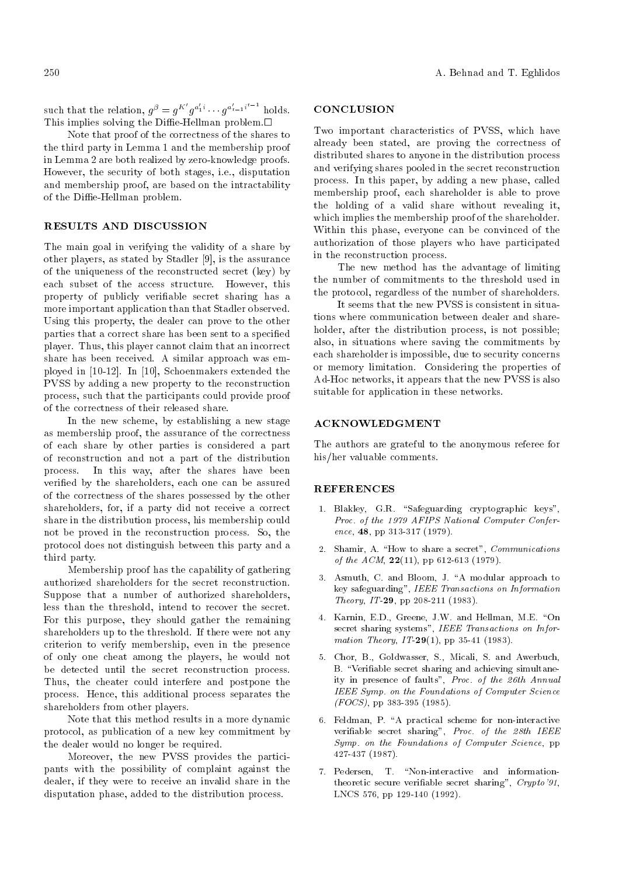such that the relation,  $g^{\beta} = g^{K'} g^{a'_1} \cdots g^{a'_{t-1}i^{t-1}}$  holds. This implies solving the Diffie-Hellman problem. $\Box$ 

Note that proof of the correctness of the shares to the third party in Lemma 1 and the membership proof in Lemma 2 are both realized by zero-knowledge proofs. However, the security of both stages, i.e., disputation and membership proof, are based on the intractability of the Diffie-Hellman problem.

# RESULTS AND DISCUSSION

The main goal in verifying the validity of a share by other players, as stated by Stadler [9], is the assurance of the uniqueness of the reconstructed secret (key) by each subset of the access structure. However, this property of publicly veriable secret sharing has a more important application than that Stadler observed. Using this property, the dealer can prove to the other parties that a correct share has been sent to a specied player. Thus, this player cannot claim that an incorrect share has been received. A similar approach was employed in [10-12]. In [10], Schoenmakers extended the PVSS by adding a new property to the reconstruction process, such that the participants could provide proof of the correctness of their released share.

In the new scheme, by establishing a new stage as membership proof, the assurance of the correctness of each share by other parties is considered a part of reconstruction and not a part of the distribution process. In this way, after the shares have been veried by the shareholders, each one can be assured of the correctness of the shares possessed by the other shareholders, for, if a party did not receive a correct share in the distribution process, his membership could not be proved in the reconstruction process. So, the protocol does not distinguish between this party and a third party.

Membership proof has the capability of gathering authorized shareholders for the secret reconstruction. Suppose that a number of authorized shareholders, less than the threshold, intend to recover the secret. For this purpose, they should gather the remaining shareholders up to the threshold. If there were not any criterion to verify membership, even in the presence of only one cheat among the players, he would not be detected until the secret reconstruction process. Thus, the cheater could interfere and postpone the process. Hence, this additional process separates the shareholders from other players.

Note that this method results in a more dynamic protocol, as publication of a new key commitment by the dealer would no longer be required.

Moreover, the new PVSS provides the participants with the possibility of complaint against the dealer, if they were to receive an invalid share in the disputation phase, added to the distribution process.

## **CONCLUSION**

Two important characteristics of PVSS, which have already been stated, are proving the correctness of distributed shares to anyone in the distribution process and verifying shares pooled in the secret reconstruction process. In this paper, by adding a new phase, called membership proof, each shareholder is able to prove the holding of a valid share without revealing it, which implies the membership proof of the shareholder. Within this phase, everyone can be convinced of the authorization of those players who have participated in the reconstruction process.

The new method has the advantage of limiting the number of commitments to the threshold used in the protocol, regardless of the number of shareholders.

It seems that the new PVSS is consistent in situations where communication between dealer and shareholder, after the distribution process, is not possible; also, in situations where saving the commitments by each shareholder is impossible, due to security concerns or memory limitation. Considering the properties of Ad-Hoc networks, it appears that the new PVSS is also suitable for application in these networks.

## ACKNOWLEDGMENT

The authors are grateful to the anonymous referee for his/her valuable comments.

# **REFERENCES**

- 1. Blakley, G.R. "Safeguarding cryptographic keys", Proc. of the 1979 AFIPS National Computer Conference, 48, pp 313-317 (1979).
- 2. Shamir, A. "How to share a secret", Communications of the  $ACM$ ,  $22(11)$ , pp 612-613 (1979).
- 3. Asmuth, C. and Bloom, J. "A modular approach to key safeguarding", IEEE Transactions on Information Theory, IT-29, pp 208-211 (1983).
- 4. Karnin, E.D., Greene, J.W. and Hellman, M.E. "On secret sharing systems", IEEE Transactions on Information Theory,  $IT-29(1)$ , pp 35-41 (1983).
- 5. Chor, B., Goldwasser, S., Micali, S. and Awerbuch, B. "Verifiable secret sharing and achieving simultaneity in presence of faults", Proc. of the 26th Annual IEEE Symp. on the Foundations of Computer Science  $(FOCS)$ , pp 383-395 (1985).
- 6. Feldman, P. "A practical scheme for non-interactive veriable secret sharing", Proc. of the 28th IEEE Symp. on the Foundations of Computer Science, pp 427-437 (1987).
- 7. Pedersen, T. "Non-interactive and informationtheoretic secure verifiable secret sharing",  $Crypto'91$ , LNCS 576, pp 129-140 (1992).